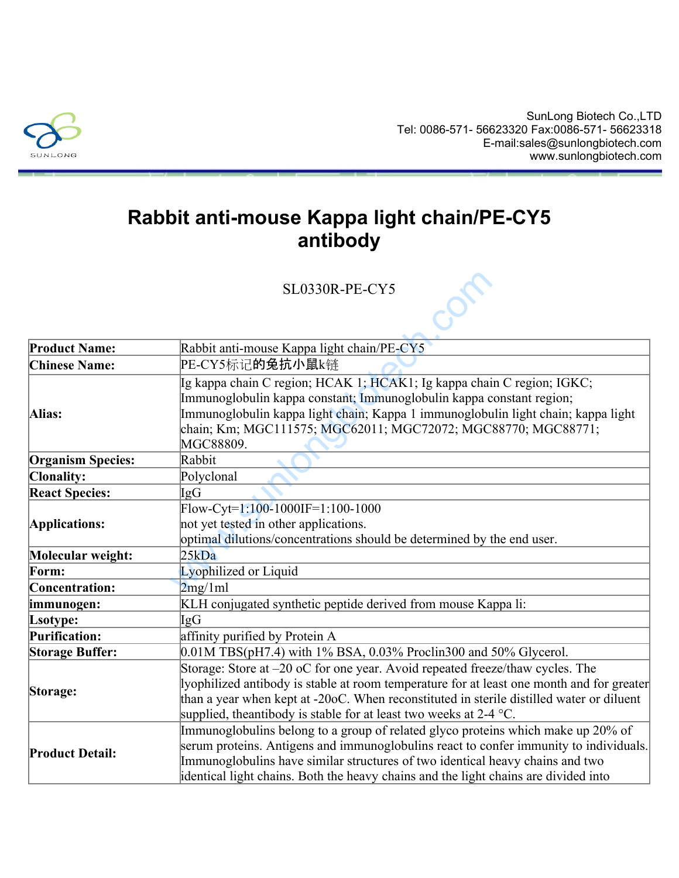

## **Rabbit anti-mouse Kappa light chain/PE-CY5 antibody**

|                          | <b>SL0330R-PE-CY5</b>                                                                                                                                                                                                                                                                                                                             |
|--------------------------|---------------------------------------------------------------------------------------------------------------------------------------------------------------------------------------------------------------------------------------------------------------------------------------------------------------------------------------------------|
|                          |                                                                                                                                                                                                                                                                                                                                                   |
| <b>Product Name:</b>     | Rabbit anti-mouse Kappa light chain/PE-CY5                                                                                                                                                                                                                                                                                                        |
| <b>Chinese Name:</b>     | PE-CY5标记的兔抗小鼠k链                                                                                                                                                                                                                                                                                                                                   |
| Alias:                   | Ig kappa chain C region; HCAK 1; HCAK1; Ig kappa chain C region; IGKC;<br>Immunoglobulin kappa constant; Immunoglobulin kappa constant region;<br>Immunoglobulin kappa light chain; Kappa 1 immunoglobulin light chain; kappa light<br>chain; Km; MGC111575; MGC62011; MGC72072; MGC88770; MGC88771;<br>MGC88809.                                 |
| <b>Organism Species:</b> | Rabbit                                                                                                                                                                                                                                                                                                                                            |
| <b>Clonality:</b>        | Polyclonal                                                                                                                                                                                                                                                                                                                                        |
| <b>React Species:</b>    | IgG                                                                                                                                                                                                                                                                                                                                               |
| Applications:            | $Flow-Cyt=1:100-1000IF=1:100-1000$<br>not yet tested in other applications.<br>optimal dilutions/concentrations should be determined by the end user.                                                                                                                                                                                             |
| Molecular weight:        | 25kDa                                                                                                                                                                                                                                                                                                                                             |
| Form:                    | Lyophilized or Liquid                                                                                                                                                                                                                                                                                                                             |
| Concentration:           | 2mg/1ml                                                                                                                                                                                                                                                                                                                                           |
| immunogen:               | KLH conjugated synthetic peptide derived from mouse Kappa li:                                                                                                                                                                                                                                                                                     |
| Lsotype:                 | IgG                                                                                                                                                                                                                                                                                                                                               |
| Purification:            | affinity purified by Protein A                                                                                                                                                                                                                                                                                                                    |
| <b>Storage Buffer:</b>   | $[0.01M$ TBS(pH7.4) with 1% BSA, 0.03% Proclin300 and 50% Glycerol.                                                                                                                                                                                                                                                                               |
| Storage:                 | Storage: Store at -20 oC for one year. Avoid repeated freeze/thaw cycles. The<br>lyophilized antibody is stable at room temperature for at least one month and for greater<br>than a year when kept at -20oC. When reconstituted in sterile distilled water or diluent<br>supplied, the antibody is stable for at least two weeks at $2-4$ °C.    |
| <b>Product Detail:</b>   | Immunoglobulins belong to a group of related glyco proteins which make up 20% of<br>serum proteins. Antigens and immunoglobulins react to confer immunity to individuals.<br>Immunoglobulins have similar structures of two identical heavy chains and two<br>identical light chains. Both the heavy chains and the light chains are divided into |